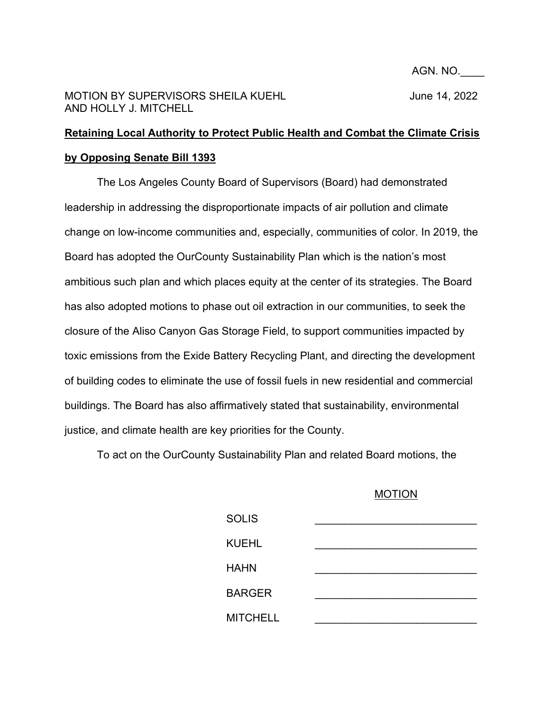AGN. NO.\_\_\_\_

## MOTION BY SUPERVISORS SHEILA KUEHL **Interview of the ULITA** June 14, 2022 AND HOLLY J. MITCHELL

## **Retaining Local Authority to Protect Public Health and Combat the Climate Crisis by Opposing Senate Bill 1393**

The Los Angeles County Board of Supervisors (Board) had demonstrated leadership in addressing the disproportionate impacts of air pollution and climate change on low-income communities and, especially, communities of color. In 2019, the Board has adopted the OurCounty Sustainability Plan which is the nation's most ambitious such plan and which places equity at the center of its strategies. The Board has also adopted motions to phase out oil extraction in our communities, to seek the closure of the Aliso Canyon Gas Storage Field, to support communities impacted by toxic emissions from the Exide Battery Recycling Plant, and directing the development of building codes to eliminate the use of fossil fuels in new residential and commercial buildings. The Board has also affirmatively stated that sustainability, environmental justice, and climate health are key priorities for the County.

To act on the OurCounty Sustainability Plan and related Board motions, the

## MOTION

| <b>SOLIS</b>    |  |
|-----------------|--|
| <b>KUEHL</b>    |  |
| <b>HAHN</b>     |  |
| <b>BARGER</b>   |  |
| <b>MITCHELL</b> |  |
|                 |  |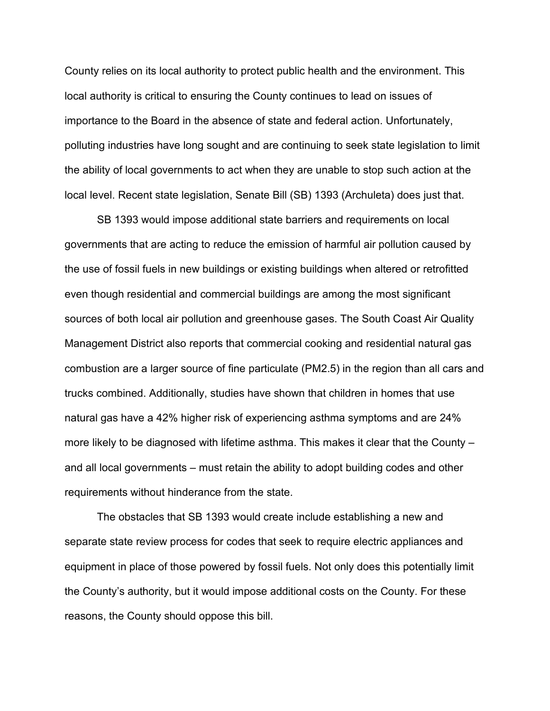County relies on its local authority to protect public health and the environment. This local authority is critical to ensuring the County continues to lead on issues of importance to the Board in the absence of state and federal action. Unfortunately, polluting industries have long sought and are continuing to seek state legislation to limit the ability of local governments to act when they are unable to stop such action at the local level. Recent state legislation, Senate Bill (SB) 1393 (Archuleta) does just that.

SB 1393 would impose additional state barriers and requirements on local governments that are acting to reduce the emission of harmful air pollution caused by the use of fossil fuels in new buildings or existing buildings when altered or retrofitted even though residential and commercial buildings are among the most significant sources of both local air pollution and greenhouse gases. The South Coast Air Quality Management District also reports that commercial cooking and residential natural gas combustion are a larger source of fine particulate (PM2.5) in the region than all cars and trucks combined. Additionally, studies have shown that children in homes that use natural gas have a 42% higher risk of experiencing asthma symptoms and are 24% more likely to be diagnosed with lifetime asthma. This makes it clear that the County – and all local governments – must retain the ability to adopt building codes and other requirements without hinderance from the state.

The obstacles that SB 1393 would create include establishing a new and separate state review process for codes that seek to require electric appliances and equipment in place of those powered by fossil fuels. Not only does this potentially limit the County's authority, but it would impose additional costs on the County. For these reasons, the County should oppose this bill.